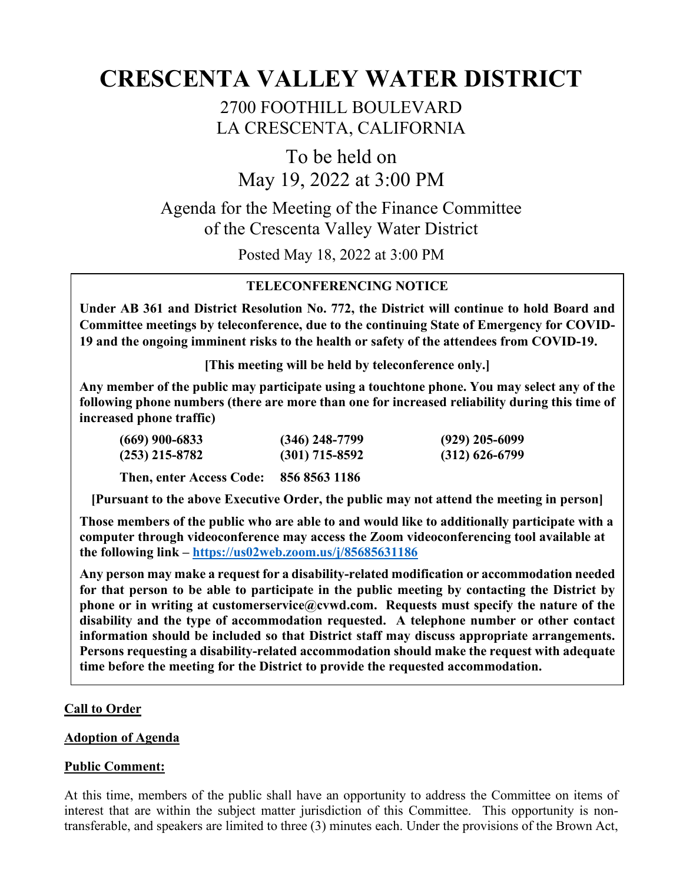# **CRESCENTA VALLEY WATER DISTRICT**

2700 FOOTHILL BOULEVARD LA CRESCENTA, CALIFORNIA

To be held on May 19, 2022 at 3:00 PM

Agenda for the Meeting of the Finance Committee of the Crescenta Valley Water District

Posted May 18, 2022 at 3:00 PM

# **TELECONFERENCING NOTICE**

**Under AB 361 and District Resolution No. 772, the District will continue to hold Board and Committee meetings by teleconference, due to the continuing State of Emergency for COVID-19 and the ongoing imminent risks to the health or safety of the attendees from COVID-19.** 

**[This meeting will be held by teleconference only.]**

**Any member of the public may participate using a touchtone phone. You may select any of the following phone numbers (there are more than one for increased reliability during this time of increased phone traffic)**

| (669) 900-6833                         | $(346)$ 248-7799 | $(929)$ 205-6099 |
|----------------------------------------|------------------|------------------|
| (253) 215-8782                         | $(301)$ 715-8592 | $(312)$ 626-6799 |
| Then, enter Access Code: 856 8563 1186 |                  |                  |

**[Pursuant to the above Executive Order, the public may not attend the meeting in person]**

**Those members of the public who are able to and would like to additionally participate with a computer through videoconference may access the Zoom videoconferencing tool available at the following link – <https://us02web.zoom.us/j/85685631186>**

**Any person may make a request for a disability-related modification or accommodation needed for that person to be able to participate in the public meeting by contacting the District by phone or in writing at customerservice@cvwd.com. Requests must specify the nature of the disability and the type of accommodation requested. A telephone number or other contact information should be included so that District staff may discuss appropriate arrangements. Persons requesting a disability-related accommodation should make the request with adequate time before the meeting for the District to provide the requested accommodation.**

# **Call to Order**

### **Adoption of Agenda**

### **Public Comment:**

At this time, members of the public shall have an opportunity to address the Committee on items of interest that are within the subject matter jurisdiction of this Committee. This opportunity is nontransferable, and speakers are limited to three (3) minutes each. Under the provisions of the Brown Act,